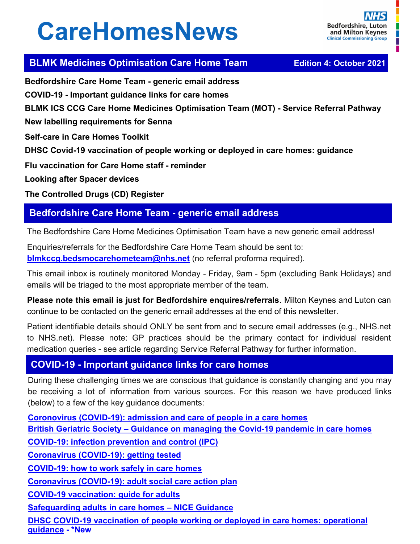# **CareHomesNews**

П

## **BLMK Medicines Optimisation Care Home Team <br><b>Edition 4: October 2021**

**Bedfordshire Care Home Team - generic email address COVID-19 - Important guidance links for care homes BLMK ICS CCG Care Home Medicines Optimisation Team (MOT) - Service Referral Pathway New labelling requirements for Senna Self-care in Care Homes Toolkit DHSC Covid-19 vaccination of people working or deployed in care homes: guidance Flu vaccination for Care Home staff - reminder Looking after Spacer devices The Controlled Drugs (CD) Register**

## **Bedfordshire Care Home Team - generic email address**

The Bedfordshire Care Home Medicines Optimisation Team have a new generic email address!

Enquiries/referrals for the Bedfordshire Care Home Team should be sent to: **[blmkccg.bedsmocarehometeam@nhs.net](mailto:blmkccg.bedsmocarehometeam@nhs.net)** (no referral proforma required).

This email inbox is routinely monitored Monday - Friday, 9am - 5pm (excluding Bank Holidays) and emails will be triaged to the most appropriate member of the team.

**Please note this email is just for Bedfordshire enquires/referrals**. Milton Keynes and Luton can continue to be contacted on the generic email addresses at the end of this newsletter.

Patient identifiable details should ONLY be sent from and to secure email addresses (e.g., NHS.net to NHS.net). Please note: GP practices should be the primary contact for individual resident medication queries - see article regarding Service Referral Pathway for further information.

#### **COVID-19 - Important guidance links for care homes**

During these challenging times we are conscious that guidance is constantly changing and you may be receiving a lot of information from various sources. For this reason we have produced links (below) to a few of the key guidance documents:

**Coronovirus (COVID-[19\): admission and care of people in a care homes](https://www.gov.uk/government/publications/coronavirus-covid-19-admission-and-care-of-people-in-care-homes) British Geriatric Society – [Guidance on managing the Covid](https://www.bgs.org.uk/resources/covid-19-managing-the-covid-19-pandemic-in-care-homes)-19 pandemic in care homes COVID-[19: infection prevention and control \(IPC\)](https://www.gov.uk/government/publications/wuhan-novel-coronavirus-infection-prevention-and-control) [Coronavirus \(COVID](https://www.gov.uk/guidance/coronavirus-covid-19-getting-tested)-19): getting tested COVID-[19: how to work safely in care homes](https://www.gov.uk/government/publications/covid-19-how-to-work-safely-in-care-homes) Coronavirus (COVID-[19\): adult social care action plan](https://www.gov.uk/government/publications/coronavirus-covid-19-adult-social-care-action-plan) COVID-[19 vaccination: guide for adults](https://www.gov.uk/government/publications/covid-19-vaccination-guide-for-older-adults) [Safeguarding adults in care homes –](https://www.nice.org.uk/guidance/ng189) NICE Guidance DHSC COVID-[19 vaccination of people working or deployed in care homes: operational](https://www.gov.uk/government/publications/vaccination-of-people-working-or-deployed-in-care-homes-operational-guidance/coronavirus-covid-19-vaccination-of-people-working-or-deployed-in-care-homes-operational-guidance)  [guidance](https://www.gov.uk/government/publications/vaccination-of-people-working-or-deployed-in-care-homes-operational-guidance/coronavirus-covid-19-vaccination-of-people-working-or-deployed-in-care-homes-operational-guidance) - \*New**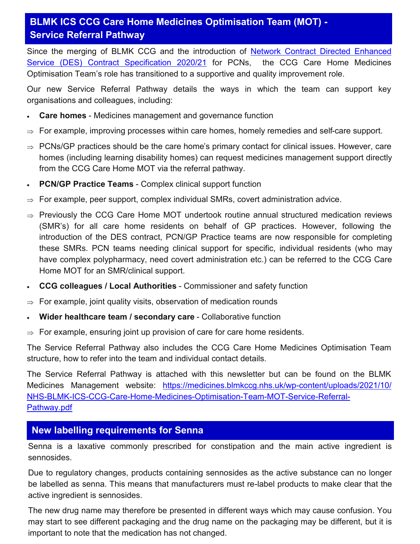## **BLMK ICS CCG Care Home Medicines Optimisation Team (MOT) - Service Referral Pathway**

Since the merging of BLMK CCG and the introduction of [Network Contract Directed Enhanced](https://www.england.nhs.uk/publication/des-contract-specification-2020-21-pcn-entitlements-and-requirements/)  [Service \(DES\) Contract Specification 2020/21](https://www.england.nhs.uk/publication/des-contract-specification-2020-21-pcn-entitlements-and-requirements/) for PCNs, the CCG Care Home Medicines Optimisation Team's role has transitioned to a supportive and quality improvement role.

Our new Service Referral Pathway details the ways in which the team can support key organisations and colleagues, including:

- **Care homes** Medicines management and governance function
- For example, improving processes within care homes, homely remedies and self-care support.
- $\Rightarrow$  PCNs/GP practices should be the care home's primary contact for clinical issues. However, care homes (including learning disability homes) can request medicines management support directly from the CCG Care Home MOT via the referral pathway.
- **PCN/GP Practice Teams** Complex clinical support function
- $\Rightarrow$  For example, peer support, complex individual SMRs, covert administration advice.
- $\Rightarrow$  Previously the CCG Care Home MOT undertook routine annual structured medication reviews (SMR's) for all care home residents on behalf of GP practices. However, following the introduction of the DES contract, PCN/GP Practice teams are now responsible for completing these SMRs. PCN teams needing clinical support for specific, individual residents (who may have complex polypharmacy, need covert administration etc.) can be referred to the CCG Care Home MOT for an SMR/clinical support.
- **CCG colleagues / Local Authorities** Commissioner and safety function
- $\Rightarrow$  For example, joint quality visits, observation of medication rounds
- **Wider healthcare team / secondary care** Collaborative function
- $\Rightarrow$  For example, ensuring joint up provision of care for care home residents.

The Service Referral Pathway also includes the CCG Care Home Medicines Optimisation Team structure, how to refer into the team and individual contact details.

The Service Referral Pathway is attached with this newsletter but can be found on the BLMK Medicines Management website: [https://medicines.blmkccg.nhs.uk/wp](https://medicines.blmkccg.nhs.uk/wp-content/uploads/2021/10/NHS-BLMK-ICS-CCG-Care-Home-Medicines-Optimisation-Team-MOT-Service-Referral-Pathway.pdf)-content/uploads/2021/10/ NHS-BLMK-ICS-CCG-Care-Home-Medicines-[Optimisation](https://medicines.blmkccg.nhs.uk/wp-content/uploads/2021/10/NHS-BLMK-ICS-CCG-Care-Home-Medicines-Optimisation-Team-MOT-Service-Referral-Pathway.pdf)-Team-MOT-Service-Referral-[Pathway.pdf](https://medicines.blmkccg.nhs.uk/wp-content/uploads/2021/10/NHS-BLMK-ICS-CCG-Care-Home-Medicines-Optimisation-Team-MOT-Service-Referral-Pathway.pdf)

#### **New labelling requirements for Senna**

Senna is a laxative commonly prescribed for constipation and the main active ingredient is sennosides.

Due to regulatory changes, products containing sennosides as the active substance can no longer be labelled as senna. This means that manufacturers must re-label products to make clear that the active ingredient is sennosides.

The new drug name may therefore be presented in different ways which may cause confusion. You may start to see different packaging and the drug name on the packaging may be different, but it is important to note that the medication has not changed.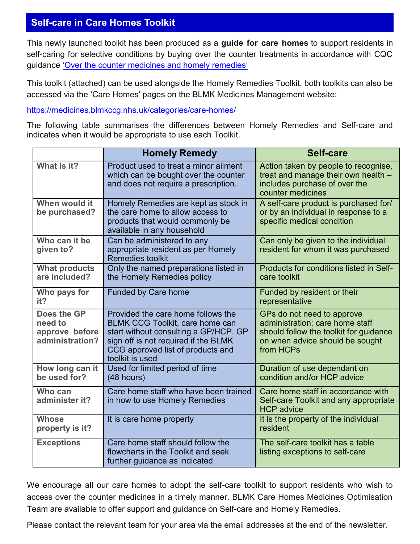## **Self-care in Care Homes Toolkit**

This newly launched toolkit has been produced as a **guide for care homes** to support residents in self-caring for selective conditions by buying over the counter treatments in accordance with CQC guidance '[Over the counter medicines and homely remedies](https://www.cqc.org.uk/guidance-providers/adult-social-care/over-counter-medicines-homely-remedies)'

This toolkit (attached) can be used alongside the Homely Remedies Toolkit, both toolkits can also be accessed via the 'Care Homes' pages on the BLMK Medicines Management website:

[https://medicines.blmkccg.nhs.uk/categories/care](https://medicines.blmkccg.nhs.uk/categories/care-homes/)-homes/

The following table summarises the differences between Homely Remedies and Self-care and indicates when it would be appropriate to use each Toolkit.

|                                                             | <b>Homely Remedy</b>                                                                                                                                                                                                  | <b>Self-care</b>                                                                                                                                        |
|-------------------------------------------------------------|-----------------------------------------------------------------------------------------------------------------------------------------------------------------------------------------------------------------------|---------------------------------------------------------------------------------------------------------------------------------------------------------|
| What is it?                                                 | Product used to treat a minor ailment<br>which can be bought over the counter<br>and does not require a prescription.                                                                                                 | Action taken by people to recognise,<br>treat and manage their own health -<br>includes purchase of over the<br>counter medicines                       |
| When would it<br>be purchased?                              | Homely Remedies are kept as stock in<br>the care home to allow access to<br>products that would commonly be<br>available in any household                                                                             | A self-care product is purchased for/<br>or by an individual in response to a<br>specific medical condition                                             |
| Who can it be<br>given to?                                  | Can be administered to any<br>appropriate resident as per Homely<br><b>Remedies toolkit</b>                                                                                                                           | Can only be given to the individual<br>resident for whom it was purchased                                                                               |
| <b>What products</b><br>are included?                       | Only the named preparations listed in<br>the Homely Remedies policy                                                                                                                                                   | Products for conditions listed in Self-<br>care toolkit                                                                                                 |
| Who pays for<br>it?                                         | <b>Funded by Care home</b>                                                                                                                                                                                            | Funded by resident or their<br>representative                                                                                                           |
| Does the GP<br>need to<br>approve before<br>administration? | Provided the care home follows the<br><b>BLMK CCG Toolkit, care home can</b><br>start without consulting a GP/HCP. GP<br>sign off is not required if the BLMK<br>CCG approved list of products and<br>toolkit is used | GPs do not need to approve<br>administration; care home staff<br>should follow the toolkit for guidance<br>on when advice should be sought<br>from HCPs |
| How long can it<br>be used for?                             | Used for limited period of time<br>$(48$ hours)                                                                                                                                                                       | Duration of use dependant on<br>condition and/or HCP advice                                                                                             |
| Who can<br>administer it?                                   | Care home staff who have been trained<br>in how to use Homely Remedies                                                                                                                                                | Care home staff in accordance with<br>Self-care Toolkit and any appropriate<br><b>HCP</b> advice                                                        |
| <b>Whose</b><br>property is it?                             | It is care home property                                                                                                                                                                                              | It is the property of the individual<br>resident                                                                                                        |
| <b>Exceptions</b>                                           | Care home staff should follow the<br>flowcharts in the Toolkit and seek<br>further guidance as indicated                                                                                                              | The self-care toolkit has a table<br>listing exceptions to self-care                                                                                    |

We encourage all our care homes to adopt the self-care toolkit to support residents who wish to access over the counter medicines in a timely manner. BLMK Care Homes Medicines Optimisation Team are available to offer support and guidance on Self-care and Homely Remedies.

Please contact the relevant team for your area via the email addresses at the end of the newsletter.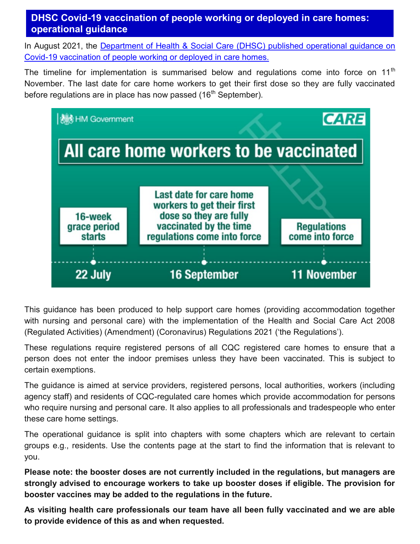## **DHSC Covid-19 vaccination of people working or deployed in care homes: operational guidance**

In August 2021, the [Department of Health & Social Care \(DHSC\) published operational guidance on](https://www.gov.uk/government/publications/vaccination-of-people-working-or-deployed-in-care-homes-operational-guidance/coronavirus-covid-19-vaccination-of-people-working-or-deployed-in-care-homes-operational-guidance)  Covid-[19 vaccination of people working or deployed in care homes.](https://www.gov.uk/government/publications/vaccination-of-people-working-or-deployed-in-care-homes-operational-guidance/coronavirus-covid-19-vaccination-of-people-working-or-deployed-in-care-homes-operational-guidance)

The timeline for implementation is summarised below and regulations come into force on 11<sup>th</sup> November. The last date for care home workers to get their first dose so they are fully vaccinated before regulations are in place has now passed (16<sup>th</sup> September).



This guidance has been produced to help support care homes (providing accommodation together with nursing and personal care) with the implementation of the Health and Social Care Act 2008 (Regulated Activities) (Amendment) (Coronavirus) Regulations 2021 ('the Regulations').

These regulations require registered persons of all CQC registered care homes to ensure that a person does not enter the indoor premises unless they have been vaccinated. This is subject to certain exemptions.

The guidance is aimed at service providers, registered persons, local authorities, workers (including agency staff) and residents of CQC-regulated care homes which provide accommodation for persons who require nursing and personal care. It also applies to all professionals and tradespeople who enter these care home settings.

The operational guidance is split into chapters with some chapters which are relevant to certain groups e.g., residents. Use the contents page at the start to find the information that is relevant to you.

**Please note: the booster doses are not currently included in the regulations, but managers are strongly advised to encourage workers to take up booster doses if eligible. The provision for booster vaccines may be added to the regulations in the future.** 

**As visiting health care professionals our team have all been fully vaccinated and we are able to provide evidence of this as and when requested.**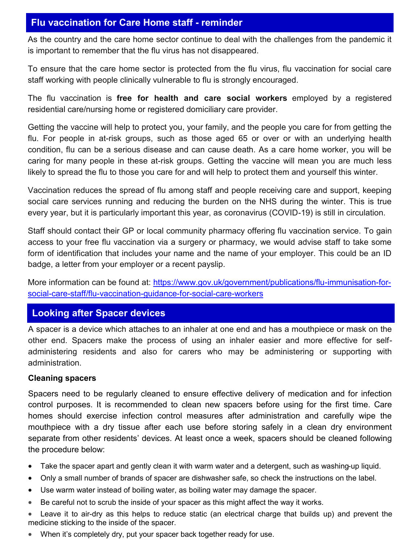#### **Flu vaccination for Care Home staff - reminder**

As the country and the care home sector continue to deal with the challenges from the pandemic it is important to remember that the flu virus has not disappeared.

To ensure that the care home sector is protected from the flu virus, flu vaccination for social care staff working with people clinically vulnerable to flu is strongly encouraged.

The flu vaccination is **free for health and care social workers** employed by a registered residential care/nursing home or registered domiciliary care provider.

Getting the vaccine will help to protect you, your family, and the people you care for from getting the flu. For people in at-risk groups, such as those aged 65 or over or with an underlying health condition, flu can be a serious disease and can cause death. As a care home worker, you will be caring for many people in these at-risk groups. Getting the vaccine will mean you are much less likely to spread the flu to those you care for and will help to protect them and yourself this winter.

Vaccination reduces the spread of flu among staff and people receiving care and support, keeping social care services running and reducing the burden on the NHS during the winter. This is true every year, but it is particularly important this year, as coronavirus (COVID-19) is still in circulation.

Staff should contact their GP or local community pharmacy offering flu vaccination service. To gain access to your free flu vaccination via a surgery or pharmacy, we would advise staff to take some form of identification that includes your name and the name of your employer. This could be an ID badge, a letter from your employer or a recent payslip.

More information can be found at: [https://www.gov.uk/government/publications/flu](https://www.gov.uk/government/publications/flu-immunisation-for-social-care-staff/flu-vaccination-guidance-for-social-care-workers)-immunisation-forsocial-care-staff/flu-[vaccination](https://www.gov.uk/government/publications/flu-immunisation-for-social-care-staff/flu-vaccination-guidance-for-social-care-workers)-guidance-for-social-care-workers

#### **Looking after Spacer devices**

A spacer is a device which attaches to an inhaler at one end and has a mouthpiece or mask on the other end. Spacers make the process of using an inhaler easier and more effective for selfadministering residents and also for carers who may be administering or supporting with administration.

#### **Cleaning spacers**

Spacers need to be regularly cleaned to ensure effective delivery of medication and for infection control purposes. It is recommended to clean new spacers before using for the first time. Care homes should exercise infection control measures after administration and carefully wipe the mouthpiece with a dry tissue after each use before storing safely in a clean dry environment separate from other residents' devices. At least once a week, spacers should be cleaned following the procedure below:

- Take the spacer apart and gently clean it with warm water and a detergent, such as washing-up liquid.
- Only a small number of brands of spacer are dishwasher safe, so check the instructions on the label.
- Use warm water instead of boiling water, as boiling water may damage the spacer.
- Be careful not to scrub the inside of your spacer as this might affect the way it works.
- Leave it to air-dry as this helps to reduce static (an electrical charge that builds up) and prevent the medicine sticking to the inside of the spacer.
- When it's completely dry, put your spacer back together ready for use.